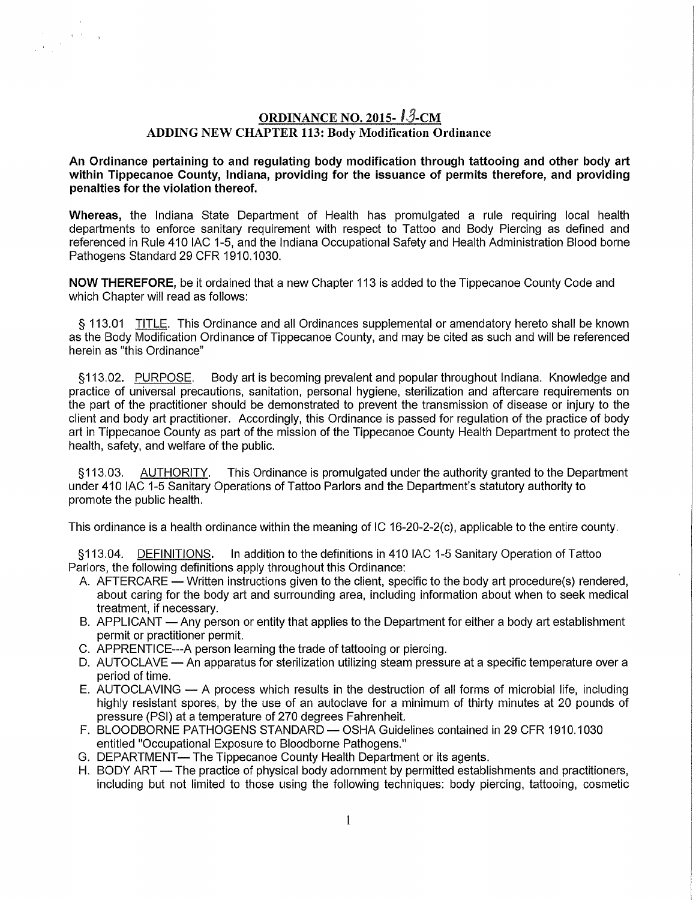# ORDINANCE NO. 2015- $13$ -CM ADDING NEW CHAPTER 113: Body Modification Ordinance

 $\chi=3$  .

An Ordinance pertaining to and regulating body modification through tattooing and other body art within Tippecanoe County, Indiana, providing for the issuance of permits therefore, and providing penalties for the violation thereof.

Whereas, the Indiana State Department of Health has promulgated a rule requiring local health departments to enforce sanitary requirement with respect to Tattoo and Body Piercing as defined and referenced in Rule 410 IAC 1-5, and the Indiana Occupational Safety and Health Administration Blood borne Pathogens Standard 29 CFR 1910.1030.

NOW THEREFORE, be it ordained that a new Chapter 113 is added to the Tippecanoe County Code and which Chapter will read as follows:

§ 113.01 TITLE. This Ordinance and all Ordinances supplemental or amendatory hereto shall be known as the Body Modification Ordinance of Tippecanoe County, and may be cited as such and will be referenced herein as "this Ordinance"

§113.02. PURPOSE. Body art is becoming prevalent and popular throughout Indiana. Knowledge and practice of universal precautions, sanitation, personal hygiene, sterilization and aftercare requirements on the part of the practitioner should be demonstrated to prevent the transmission of disease or injury to the client and body art practitioner. Accordingly, this Ordinance is passed for regulation of the practice of body art in Tippecanoe County as part of the mission of the Tippecanoe County Health Department to protect the health, safety, and welfare of the public.

§113.03. AUTHORITY. This Ordinance is promulgated under the authority granted to the Department under 410 IAC 1-5 Sanitary Operations of Tattoo Parlors and the Department's statutory authority to promote the public health.

This ordinance is a health ordinance within the meaning of IC 16-20-2-2(c), applicable to the entire county.

§113.04. DEFINITIONS. In addition to the definitions in 410 IAC 1-5 Sanitary Operation of Tattoo Parlors, the following definitions apply throughout this Ordinance:

- A. AFTERCARE Written instructions given to the client, specific to the body art procedure(s) rendered, about caring for the body art and surrounding area, including information about when to seek medical treatment, if necessary.
- B. APPLICANT Any person or entity that applies to the Department for either a body art establishment permit or practitioner permit.
- C. APPRENTICE---A person learning the trade of tattooing or piercing.
- D. AUTOCLAVE An apparatus for sterilization utilizing steam pressure at a specific temperature over a period of time.
- $E.$  AUTOCLAVING  $-$  A process which results in the destruction of all forms of microbial life, including highly resistant spores, by the use of an autoclave for a minimum of thirty minutes at 20 pounds of pressure (PSI) at a temperature of 270 degrees Fahrenheit.
- F. BLOODBORNE PATHOGENS STANDARD OSHA Guidelines contained in 29 CFR 1910.1030 entitled "Occupational Exposure to Bloodborne Pathogens."
- G. DEPARTMENT- The Tippecanoe County Health Department or its agents.
- H. BODY ART The practice of physical body adornment by permitted establishments and practitioners, including but not limited to those using the following techniques: body piercing, tattooing, cosmetic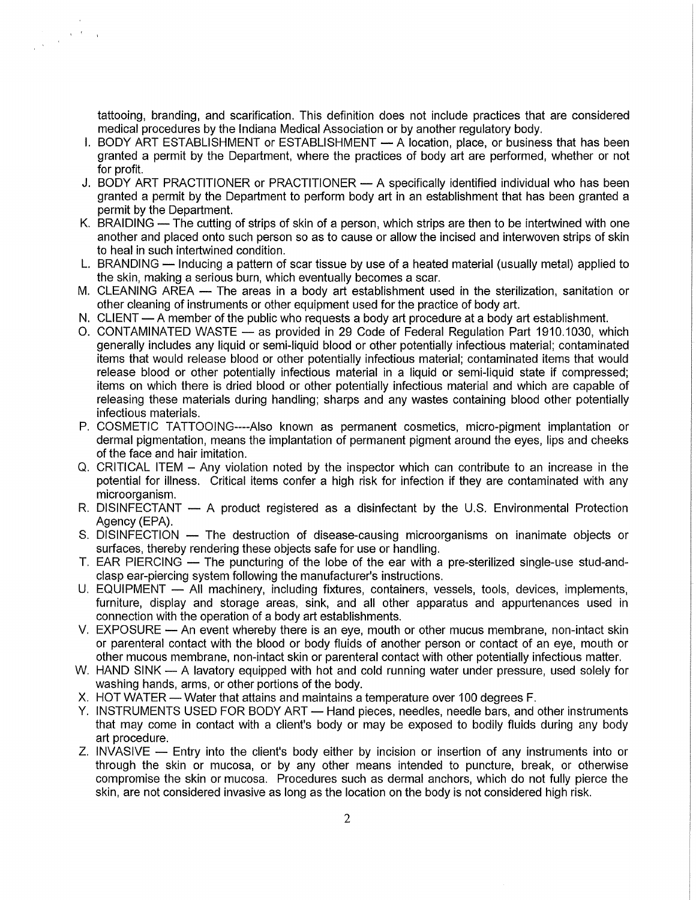tattooing, branding, and scarification. This definition does not include practices that are considered medical procedures by the Indiana Medical Association or by another regulatory body.

I. BODY ART ESTABLISHMENT or ESTABLISHMENT - A location, place, or business that has been granted a permit by the Department, where the practices of body art are performed, whether or not for profit.

 $\label{eq:1} \frac{1}{\sqrt{2\pi}}\left(\sqrt{2\pi}\right)^{\frac{1}{2}}\left(\sqrt{2\pi}\right)^{\frac{1}{2}}$ 

- J. BODY ART PRACTITIONER or PRACTITIONER A specifically identified individual who has been granted a permit by the Department to perform body art in an establishment that has been granted a permit by the Department.
- K. BRAIDING The cutting of strips of skin of a person, which strips are then to be intertwined with one another and placed onto such person so as to cause or allow the incised and interwoven strips of skin to heal in such intertwined condition.
- L. BRANDING Inducing a pattern of scar tissue by use of a heated material (usually metal) applied to the skin, making a serious burn, which eventually becomes a scar.
- M. CLEANING AREA The areas in a body art establishment used in the sterilization, sanitation or other cleaning of instruments or other equipment used for the practice of body art.
- N. CLIENT A member of the public who requests a body art procedure at a body art establishment.
- 0. CONTAMINATED WASTE as provided in 29 Code of Federal Regulation Part 1910.1030, which generally includes any liquid or semi-liquid blood or other potentially infectious material; contaminated items that would release blood or other potentially infectious material; contaminated items that would release blood or other potentially infectious material in a liquid or semi-liquid state if compressed; items on which there is dried blood or other potentially infectious material and which are capable of releasing these materials during handling; sharps and any wastes containing blood other potentially infectious materials.
- P. COSMETIC TATTOOING----Also known as permanent cosmetics, micro-pigment implantation or dermal pigmentation, means the implantation of permanent pigment around the eyes, lips and cheeks of the face and hair imitation.
- Q. CRITICAL ITEM Any violation noted by the inspector which can contribute to an increase in the potential for illness. Critical items confer a high risk for infection if they are contaminated with any microorganism.
- R. DISINFECTANT A product registered as a disinfectant by the U.S. Environmental Protection Agency (EPA).
- S. DISINFECTION The destruction of disease-causing microorganisms on inanimate objects or surfaces, thereby rendering these objects safe for use or handling.
- T. EAR PIERCING The puncturing of the lobe of the ear with a pre-sterilized single-use stud-andclasp ear-piercing system following the manufacturer's instructions.
- U. EQUIPMENT All machinery, including fixtures, containers, vessels, tools, devices, implements, furniture, display and storage areas, sink, and all other apparatus and appurtenances used in connection with the operation of a body art establishments.
- V. EXPOSURE An event whereby there is an eye, mouth or other mucus membrane, non-intact skin or parenteral contact with the blood or body fluids of another person or contact of an eye, mouth or other mucous membrane, non-intact skin or parenteral contact with other potentially infectious matter.
- W. HAND SINK A lavatory equipped with hot and cold running water under pressure, used solely for washing hands, arms, or other portions of the body.
- X. HOT WATER Water that attains and maintains a temperature over 100 degrees F.
- Y. INSTRUMENTS USED FOR BODY ART Hand pieces, needles, needle bars, and other instruments that may come in contact with a client's body or may be exposed to bodily fluids during any body art procedure.
- Z. INVASIVE Entry into the client's body either by incision or insertion of any instruments into or through the skin or mucosa, or by any other means intended to puncture, break, or otherwise compromise the skin or mucosa. Procedures such as dermal anchors, which do not fully pierce the skin, are not considered invasive as long as the location on the body is not considered high risk.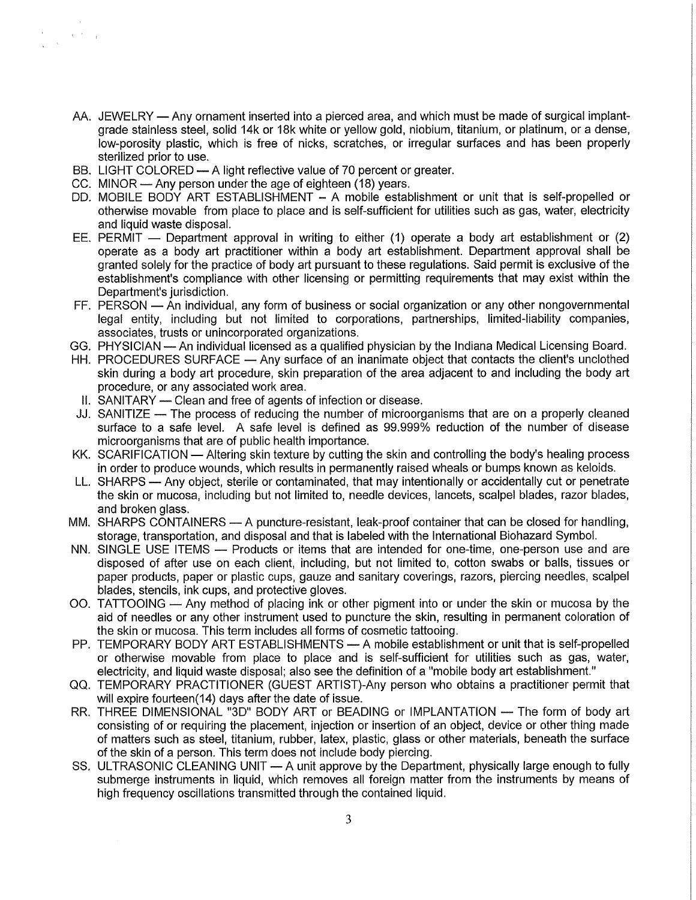- AA. JEWELRY Any ornament inserted into a pierced area, and which must be made of surgical implantgrade stainless steel, solid 14k or 18k white or yellow gold, niobium, titanium, or platinum, or a dense, low-porosity plastic, which is free of nicks, scratches, or irregular surfaces and has been properly sterilized prior to use.
- BB. LIGHT COLORED A light reflective value of 70 percent or greater.
- CC. MINOR Any person under the age of eighteen (18) years.

 $\Delta \sim 0.01$ 

- DD. MOBILE BODY ART ESTABLISHMENT A mobile establishment or unit that is self-propelled or otherwise movable from place to place and is self-sufficient for utilities such as gas, water, electricity and liquid waste disposal.
- EE. PERMIT  $-$  Department approval in writing to either (1) operate a body art establishment or (2) operate as a body art practitioner within a body art establishment. Department approval shall be granted solely for the practice of body art pursuant to these regulations. Said permit is exclusive of the establishment's compliance with other licensing or permitting requirements that may exist within the Department's jurisdiction.
- FF. PERSON An individual, any form of business or social organization or any other nongovernmental legal entity, including but not limited to corporations, partnerships, limited-liability companies, associates, trusts or unincorporated organizations.
- GG. PHYSICIAN An individual licensed as a qualified physician by the Indiana Medical Licensing Board.
- HH. PROCEDURES SURFACE Any surface of an inanimate object that contacts the client's unclothed skin during a body art procedure, skin preparation of the area adjacent to and including the body art procedure, or any associated work area.
- II. SANITARY Clean and free of agents of infection or disease.
- JJ. SANITIZE The process of reducing the number of microorganisms that are on a properly cleaned surface to a safe level. A safe level is defined as 99.999% reduction of the number of disease microorganisms that are of public health importance.
- KK. SCARIFICATION Altering skin texture by cutting the skin and controlling the body's healing process in order to produce wounds, which results in permanently raised wheals or bumps known as keloids.
- LL. SHARPS Any object, sterile or contaminated, that may intentionally or accidentally cut or penetrate the skin or mucosa, including but not limited to, needle devices, lancets, scalpel blades, razor blades, and broken glass.
- MM. SHARPS CONTAINERS A puncture-resistant, leak-proof container that can be closed for handling, storage, transportation, and disposal and that is labeled with the International Biohazard Symbol.
- NN. SINGLE USE ITEMS Products or items that are intended for one-time, one-person use and are disposed of after use on each client, including, but not limited to, cotton swabs or balls, tissues or paper products, paper or plastic cups, gauze and sanitary coverings, razors, piercing needles, scalpel blades, stencils, ink cups, and protective gloves.
- 00. TATTOOING Any method of placing ink or other pigment into or under the skin or mucosa by the aid of needles or any other instrument used to puncture the skin, resulting in permanent coloration of the skin or mucosa. This term includes all forms of cosmetic tattooing.
- PP. TEMPORARY BODY ART ESTABLISHMENTS A mobile establishment or unit that is self-propelled or otherwise movable from place to place and is self-sufficient for utilities such as gas, water, electricity, and liquid waste disposal; also see the definition of a "mobile body art establishment."
- QQ. TEMPORARY PRACTITIONER (GUEST ARTIST)-Any person who obtains a practitioner permit that will expire fourteen(14) days after the date of issue.
- RR. THREE DIMENSIONAL "3D" BODY ART or BEADING or IMPLANTATION The form of body art consisting of or requiring the placement, injection or insertion of an object, device or other thing made of matters such as steel, titanium, rubber, latex, plastic, glass or other materials, beneath the surface of the skin of a person. This term does not include body piercing.
- SS. ULTRASONIC CLEANING UNIT A unit approve by the Department, physically large enough to fully submerge instruments in liquid, which removes all foreign matter from the instruments by means of high frequency oscillations transmitted through the contained liquid.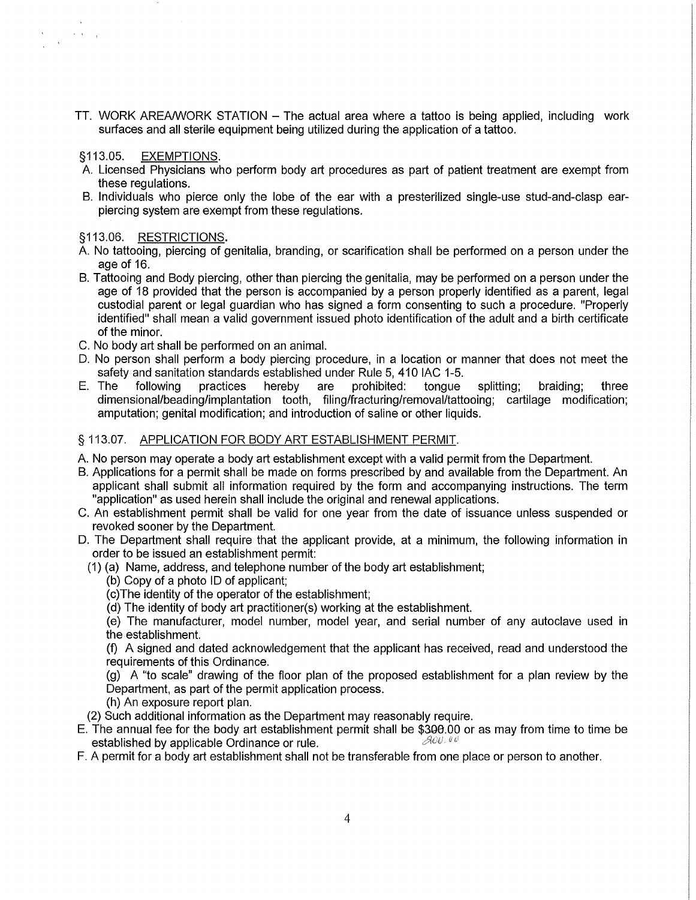TT. WORK AREA/WORK STATION - The actual area where a tattoo is being applied, including work surfaces and all sterile equipment being utilized during the application of a tattoo.

## §113.05. EXEMPTIONS.

 $\sim$  -  $\sim$  -  $\sim$ 

- A. Licensed Physicians who perform body art procedures as part of patient treatment are exempt from these regulations.
- B. Individuals who pierce only the lobe of the ear with a presterilized single-use stud-and-clasp earpiercing system are exempt from these regulations.

## §113.06. RESTRICTIONS.

- A. No tattooing, piercing of genitalia, branding, or scarification shall be performed on a person under the age of 16.
- B. Tattooing and Body piercing, other than piercing the genitalia, may be performed on a person under the age of 18 provided that the person is accompanied by a person properly identified as a parent, legal custodial parent or legal guardian who has signed a form consenting to such a procedure. "Properly identified" shall mean a valid government issued photo identification of the adult and a birth certificate of the minor.
- C. No body art shall be performed on an animal.
- D. No person shall perform a body piercing procedure, in a location or manner that does not meet the safety and sanitation standards established under Rule 5, 410 IAC 1-5.<br>E. The following practices hereby are prohibited: tongue
- E. The following practices hereby are prohibited: tongue splitting; braiding; three dimensional/beading/implantation tooth, filing/fracturing/removal/tattooing; cartilage modification; amputation; genital modification; and introduction of saline or other liquids.

## § 113.07. APPLICATION FOR BODY ART ESTABLISHMENT PERMIT.

- A. No person may operate a body art establishment except with a valid permit from the Department.
- B. Applications for a permit shall be made on forms prescribed by and available from the Department. An applicant shall submit all information required by the form and accompanying instructions. The term "application" as used herein shall include the original and renewal applications.
- C. An establishment permit shall be valid for one year from the date of issuance unless suspended or revoked sooner by the Department.
- D. The Department shall require that the applicant provide, at a minimum, the following information in order to be issued an establishment permit:
	- (1) (a) Name, address, and telephone number of the body art establishment;
		- (b) Copy of a photo ID of applicant;
		- (c)The identity of the operator of the establishment;
		- (d) The identity of body art practitioner(s) working at the establishment.

(e) The manufacturer, model number, model year, and serial number of any autoclave used in the establishment.

(f) A signed and dated acknowledgement that the applicant has received, read and understood the requirements of this Ordinance.

(g) A "to scale" drawing of the floor plan of the proposed establishment for a plan review by the Department, as part of the permit application process.

(h) An exposure report plan.

(2) Such additional information as the Department may reasonably require.

E. The annual fee for the body art establishment permit shall be \$300.00 or as may from time to time be established by applicable Ordinance or rule established by applicable Ordinance or rule.

F. A permit for a body art establishment shall not be transferable from one place or person to another.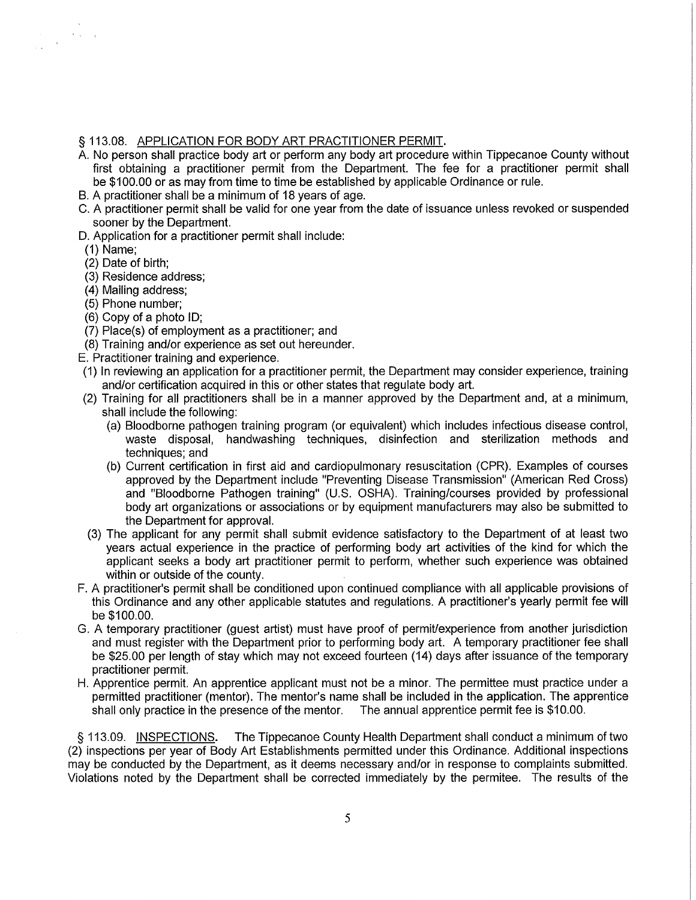#### § 113.08. APPLICATION FOR BODY ART PRACTITIONER PERMIT.

- A. No person shall practice body art or perform any body art procedure within Tippecanoe County without first obtaining a practitioner permit from the Department. The fee for a practitioner permit shall be \$100.00 or as may from time to time be established by applicable Ordinance or rule.
- B. A practitioner shall be a minimum of 18 years of age.
- C. A practitioner permit shall be valid for one year from the date of issuance unless revoked or suspended sooner by the Department.
- D. Application for a practitioner permit shall include:
- (1) Name;

 $\langle \cdot, \cdot \rangle_{\mathcal{A}}$ 

 $\sim$   $\sim$ 

- (2) Date of birth;
- (3) Residence address;
- (4) Mailing address;
- (5) Phone number;
- (6) Copy of a photo ID;
- (7) Place(s) of employment as a practitioner; and
- (8) Training and/or experience as set out hereunder.
- E. Practitioner training and experience.
- (1) In reviewing an application for a practitioner permit, the Department may consider experience, training and/or certification acquired in this or other states that regulate body art.
- (2) Training for all practitioners shall be in a manner approved by the Department and, at a minimum, shall include the following:
	- (a) Bloodborne pathogen training program (or equivalent) which includes infectious disease control, waste disposal, handwashing techniques, disinfection and sterilization methods and techniques; and
	- (b) Current certification in first aid and cardiopulmonary resuscitation (CPR). Examples of courses approved by the Department include "Preventing Disease Transmission" (American Red Cross) and "Bloodborne Pathogen training" (U.S. OSHA). Training/courses provided by professional body art organizations or associations or by equipment manufacturers may also be submitted to the Department for approval.
- (3) The applicant for any permit shall submit evidence satisfactory to the Department of at least two years actual experience in the practice of performing body art activities of the kind for which the applicant seeks a body art practitioner permit to perform, whether such experience was obtained within or outside of the county.
- F. A practitioner's permit shall be conditioned upon continued compliance with all applicable provisions of this Ordinance and any other applicable statutes and regulations. A practitioner's yearly permit fee will be \$100.00.
- G. A temporary practitioner (guest artist) must have proof of permiUexperience from another jurisdiction and must register with the Department prior to performing body art. A temporary practitioner fee shall be \$25.00 per length of stay which may not exceed fourteen (14) days after issuance of the temporary practitioner permit.
- H. Apprentice permit. An apprentice applicant must not be a minor. The permittee must practice under a permitted practitioner (mentor). The mentor's name shall be included In the application. The apprentice shall only practice in the presence of the mentor. The annual apprentice permit fee is \$10.00.

§ 113.09. INSPECTIONS. The Tippecanoe County Health Department shall conduct a minimum of two (2) inspections per year of Body Art Establishments permitted under this Ordinance. Additional inspections may be conducted by the Department, as it deems necessary and/or in response to complaints submitted. Violations noted by the Department shall be corrected immediately by the permitee. The results of the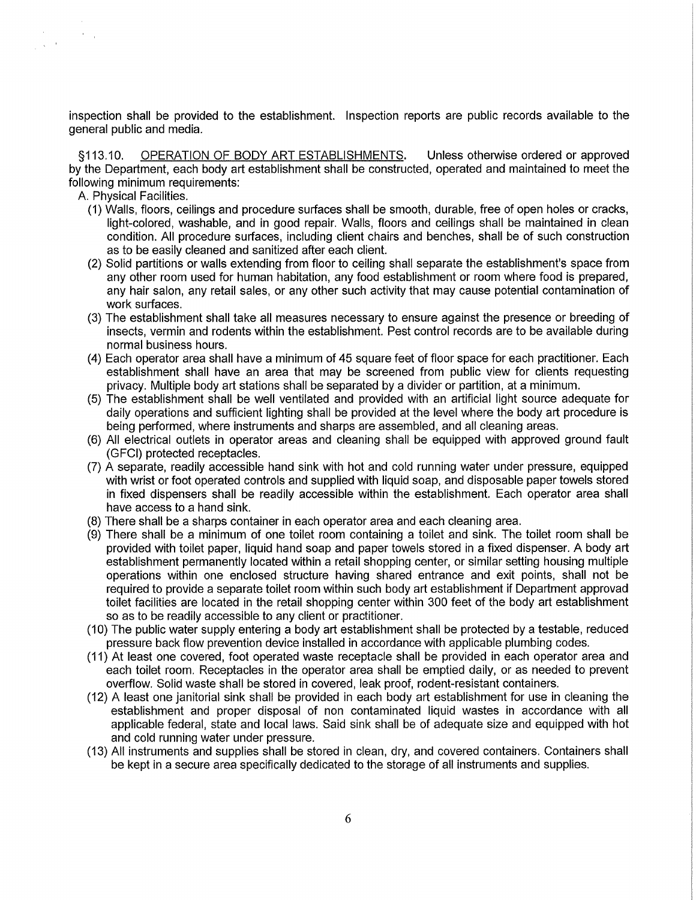inspection shall be provided to the establishment. Inspection reports are public records available to the general public and media.

§113.10. OPERATION OF BODY ART ESTABLISHMENTS. Unless otherwise ordered or approved by the Department, each body art establishment shall be constructed, operated and maintained to meet the following minimum requirements:

A. Physical Facilities.

 $\sim$   $\sigma$   $_{\odot}$ 

 $\frac{1}{2}$  ,  $\frac{1}{2}$  ,  $\frac{1}{2}$ 

- (1) Walls, floors, ceilings and procedure surfaces shall be smooth, durable, free of open holes or cracks, light-colored, washable, and in good repair. Walls, floors and ceilings shall be maintained in clean condition. All procedure surfaces, including client chairs and benches, shall be of such construction as to be easily cleaned and sanitized after each client.
- (2) Solid partitions or walls extending from floor to ceiling shall separate the establishment's space from any other room used for human habitation, any food establishment or room where food is prepared, any hair salon, any retail sales, or any other such activity that may cause potential contamination of work surfaces.
- (3) The establishment shall take all measures necessary to ensure against the presence or breeding of insects, vermin and rodents within the establishment. Pest control records are to be available during normal business hours.
- (4) Each operator area shall have a minimum of 45 square feet of floor space for each practitioner. Each establishment shall have an area that may be screened from public view for clients requesting privacy. Multiple body art stations shall be separated by a divider or partition, at a minimum.
- (5) The establishment shall be well ventilated and provided with an artificial light source adequate for daily operations and sufficient lighting shall be provided at the level where the body art procedure is being performed, where instruments and sharps are assembled, and all cleaning areas.
- (6) All electrical outlets in operator areas and cleaning shall be equipped with approved ground fault (GFCI) protected receptacles.
- (7) A separate, readily accessible hand sink with hot and cold running water under pressure, equipped with wrist or foot operated controls and supplied with liquid soap, and disposable paper towels stored in fixed dispensers shall be readily accessible within the establishment. Each operator area shall have access to a hand sink.
- (8) There shall be a sharps container in each operator area and each cleaning area.
- (9) There shall be a minimum of one toilet room containing a toilet and sink. The toilet room shall be provided with toilet paper, liquid hand soap and paper towels stored in a fixed dispenser. A body art establishment permanently located within a retail shopping center, or similar setting housing multiple operations within one enclosed structure having shared entrance and exit points, shall not be required to provide a separate toilet room within such body art establishment if Department approvad toilet facilities are located in the retail shopping center within 300 feet of the body art establishment so as to be readily accessible to any client or practitioner.
- (10) The public water supply entering a body art establishment shall be protected by a testable, reduced pressure back flow prevention device installed in accordance with applicable plumbing codes.
- (11) At least one covered, foot operated waste receptacle shall be provided in each operator area and each toilet room. Receptacles in the operator area shall be emptied daily, or as needed to prevent overflow. Solid waste shall be stored in covered, leak proof, rodent-resistant containers.
- (12) A least one janitorial sink shall be provided in each body art establishment for use in cleaning the establishment and proper disposal of non contaminated liquid wastes in accordance with all applicable federal, state and local laws. Said sink shall be of adequate size and equipped with hot and cold running water under pressure.
- (13) All instruments and supplies shall be stored in clean, dry, and covered containers. Containers shall be kept in a secure area specifically dedicated to the storage of all instruments and supplies.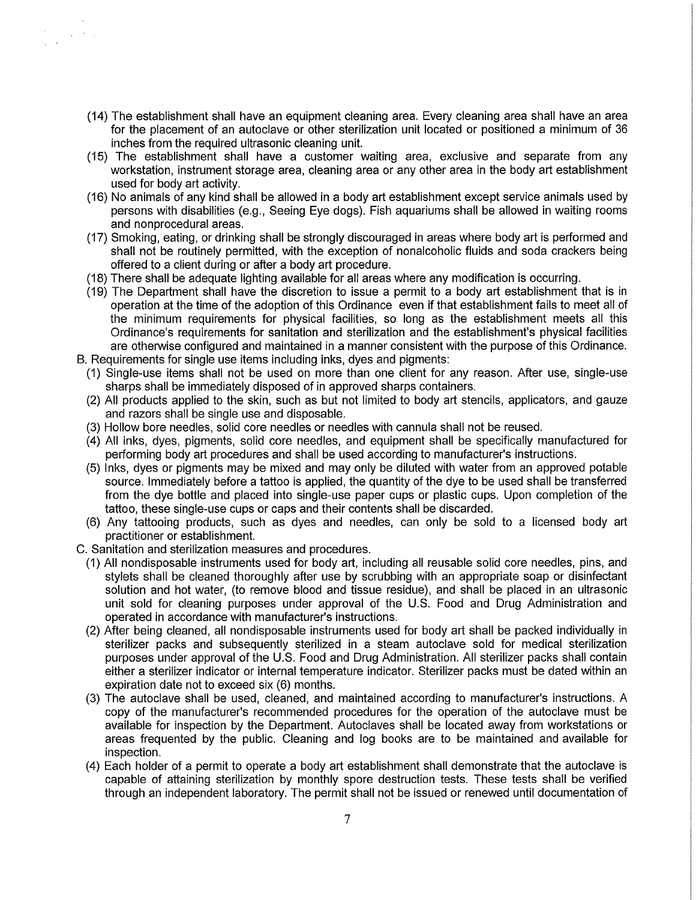- (14) The establishment shall have an equipment cleaning area. Every cleaning area shall have an area for the placement of an autoclave or other sterilization unit located or positioned a minimum of 36 inches from the required ultrasonic cleaning unit.
- (15) The establishment shall have a customer waiting area, exclusive and separate from any workstation, instrument storage area, cleaning area or any other area in the body art establishment used for body art activity.
- (16) No animals of any kind shall be allowed in a body art establishment except service animals used by persons with disabilities (e.g., Seeing Eye dogs). Fish aquariums shall be allowed in waiting rooms and nonprocedural areas.
- (17) Smoking, eating, or drinking shall be strongly discouraged in areas where body art is performed and shall not be routinely permitted, with the exception of nonalcoholic fluids and soda crackers being offered to a client during or after a body art procedure.
- (18) There shall be adequate lighting available for all areas where any modification is occurring.
- (19) The Department shall have the discretion to issue a permit to a body art establishment that is in operation at the time of the adoption of this Ordinance even if that establishment fails to meet all of the minimum requirements for physical facilities, so long as the establishment meets all this Ordinance's requirements for sanitation and sterilization and the establishment's physical facilities are otherwise configured and maintained in a manner consistent with the purpose of this Ordinance. B. Requirements for single use items including inks, dyes and pigments:
	- (1) Single-use items shall not be used on more than one client for any reason. After use, single-use sharps shall be immediately disposed of in approved sharps containers.
	- (2) All products applied to the skin, such as but not limited to body art stencils, applicators, and gauze and razors shall be single use and disposable.
	- (3) Hollow bore needles, solid core needles or needles with cannula shall not be reused.
	- (4) All inks, dyes, pigments, solid core needles, and equipment shall be specifically manufactured for performing body art procedures and shall be used according to manufacturer's instructions.
	- (5) Inks, dyes or pigments may be mixed and may only be diluted with water from an approved potable source. Immediately before a tattoo is applied, the quantity of the dye to be used shall be transferred from the dye bottle and placed into single-use paper cups or plastic cups. Upon completion of the tattoo, these single-use cups or caps and their contents shall be discarded.
	- (6) Any tattooing products, such as dyes and needles, can only be sold to a licensed body art practitioner or establishment.
- C. Sanitation and sterilization measures and procedures.

 $\mathcal{A}=\mathcal{A}^{\mathcal{A}}$  ,

- (1) All nondisposable instruments used for body art, including all reusable solid core needles, pins, and stylets shall be cleaned thoroughly after use by scrubbing with an appropriate soap or disinfectant solution and hot water, (to remove blood and tissue residue), and shall be placed in an ultrasonic unit sold for cleaning purposes under approval of the U.S. Food and Drug Administration and operated in accordance with manufacturer's instructions.
- (2) After being cleaned, all nondisposable instruments used for body art shall be packed individually in sterilizer packs and subsequently sterilized in a steam autoclave sold for medical sterilization purposes under approval of the U.S. Food and Drug Administration. All sterilizer packs shall contain either a sterilizer indicator or internal temperature indicator. Sterilizer packs must be dated within an expiration date not to exceed six (6) months.
- (3) The autoclave shall be used, cleaned, and maintained according to manufacturer's instructions. A copy of the manufacturer's recommended procedures for the operation of the autoclave must be available for inspection by the Department. Autoclaves shall be located away from workstations or areas frequented by the public. Cleaning and log books are to be maintained and available for inspection.
- (4) Each holder of a permit to operate a body art establishment shall demonstrate that the autoclave is capable of attaining sterilization by monthly spore destruction tests. These tests shall be verified through an independent laboratory. The permit shall not be issued or renewed until documentation of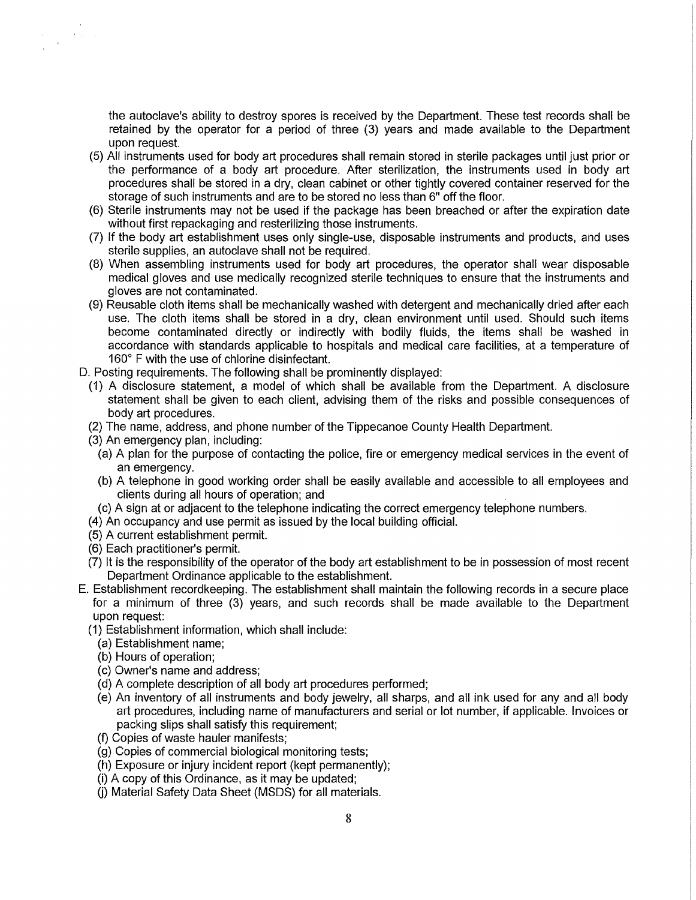the autoclave's ability to destroy spores is received by the Department. These test records shall be retained by the operator for a period of three (3) years and made available to the Department upon request.

- (5) All instruments used for body art procedures shall remain stored in sterile packages until just prior or the performance of a body art procedure. After sterilization, the instruments used in body art procedures shall be stored in a dry, clean cabinet or other tightly covered container reserved for the storage of such instruments and are to be stored no less than 6" off the floor.
- (6) Sterile instruments may not be used if the package has been breached or after the expiration date without first repackaging and resterilizing those instruments.
- (7) If the body art establishment uses only single-use, disposable instruments and products, and uses sterile supplies, an autoclave shall not be required.
- (8) When assembling instruments used for body art procedures, the operator shall wear disposable medical gloves and use medically recognized sterile techniques to ensure that the instruments and gloves are not contaminated.
- (9) Reusable cloth items shall be mechanically washed with detergent and mechanically dried after each use. The cloth items shall be stored in a dry, clean environment until used. Should such items become contaminated directly or indirectly with bodily fluids, the items shall be washed in accordance with standards applicable to hospitals and medical care facilities, at a temperature of 160° F with the use of chlorine disinfectant.
- D. Posting requirements. The following shall be prominently displayed:
	- (1) A disclosure statement, a model of which shall be available from the Department. A disclosure statement shall be given to each client, advising them of the risks and possible consequences of body art procedures.
	- (2) The name, address, and phone number of the Tippecanoe County Health Department.
	- (3) An emergency plan, including:

 $\label{eq:2.1} \frac{1}{4}\left(\frac{1}{2}\right)^{2} \frac{1}{2} \left(\frac{1}{2}\right)^{2}$ 

- (a) A plan for the purpose of contacting the police, fire or emergency medical services in the event of an emergency.
- (b) A telephone in good working order shall be easily available and accessible to all employees and clients during all hours of operation; and
- (c) A sign at or adjacent to the telephone indicating the correct emergency telephone numbers.
- (4) An occupancy and use permit as issued by the local building official.
- (5) A current establishment permit.
- (6) Each practitioner's permit.
- (7) It is the responsibility of the operator of the body art establishment to be in possession of most recent Department Ordinance applicable to the establishment.
- E. Establishment recordkeeping. The establishment shall maintain the following records in a secure place for a minimum of three (3) years, and such records shall be made available to the Department upon request:
	- (1) Establishment information, which shall include:
		- (a) Establishment name;
		- (b) Hours of operation;
		- (c) Owner's name and address;
		- (d) A complete description of all body art procedures performed;
		- (e) An inventory of all instruments and body jewelry, all sharps, and all ink used for any and all body art procedures, including name of manufacturers and serial or lot number, if applicable. Invoices or packing slips shall satisfy this requirement;
		- (f) Copies of waste hauler manifests;
		- (g) Copies of commercial biological monitoring tests;
		- (h) Exposure or injury incident report (kept permanently);
		- (i) A copy of this Ordinance, as it may be updated;
		- (i) Material Safety Data Sheet (MSDS) for all materials.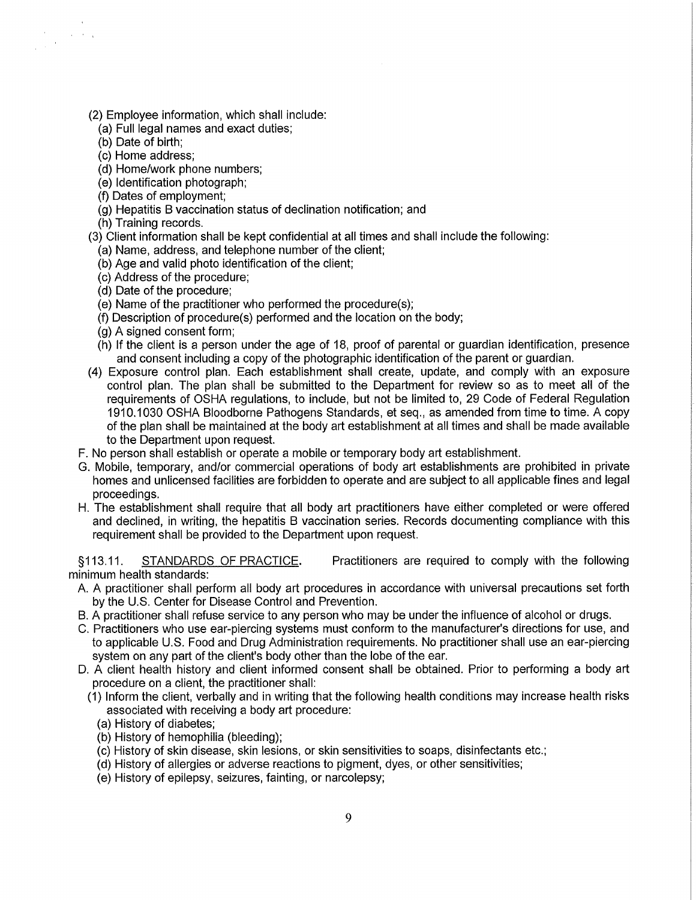(2) Employee information, which shall include:

- (a) Full legal names and exact duties;
- (b) Date of birth;

- (c) Home address;
- (d) Home/work phone numbers;
- (e) Identification photograph;
- (f) Dates of employment;
- (g) Hepatitis B vaccination status of declination notification; and
- (h) Training records.
- (3) Client information shall be kept confidential at all times and shall include the following:
	- (a) Name, address, and telephone number of the client;
	- (b) Age and valid photo identification of the client;
	- (c) Address of the procedure;
	- (d) Date of the procedure;
	- (e) Name of the practitioner who performed the procedure(s);
	- (f) Description of procedure(s) performed and the location on the body;
	- (g) A signed consent form;
	- (h) If the client is a person under the age of 18, proof of parental or guardian identification, presence and consent including a copy of the photographic identification of the parent or guardian.
- (4) Exposure control plan. Each establishment shall create, update, and comply with an exposure control plan. The plan shall be submitted to the Department for review so as to meet all of the requirements of OSHA regulations, to include, but not be limited to, 29 Code of Federal Regulation 1910.1030 OSHA Bloodborne Pathogens Standards, et seq., as amended from time to time. A copy of the plan shall be maintained at the body art establishment at all times and shall be made available to the Department upon request.
- F. No person shall establish or operate a mobile or temporary body art establishment.
- G. Mobile, temporary, and/or commercial operations of body art establishments are prohibited in private homes and unlicensed facilities are forbidden to operate and are subject to all applicable fines and legal proceedings.
- H. The establishment shall require that all body art practitioners have either completed or were offered and declined, in writing, the hepatitis B vaccination series. Records documenting compliance with this requirement shall be provided to the Department upon request.

§113.11. STANDARDS OF PRACTICE. Practitioners are required to comply with the following minimum health standards:

- A. A practitioner shall perform all body art procedures in accordance with universal precautions set forth by the U.S. Center for Disease Control and Prevention.
- B. A practitioner shall refuse service to any person who may be under the influence of alcohol or drugs.
- C. Practitioners who use ear-piercing systems must conform to the manufacturer's directions for use, and to applicable U.S. Food and Drug Administration requirements. No practitioner shall use an ear-piercing system on any part of the client's body other than the lobe of the ear.
- D. A client health history and client informed consent shall be obtained. Prior to performing a body art procedure on a client, the practitioner shall:
	- (1) Inform the client, verbally and in writing that the following health conditions may increase health risks associated with receiving a body art procedure:
		- (a) History of diabetes;
		- (b) History of hemophilia (bleeding);
		- (c) History of skin disease, skin lesions, or skin sensitivities to soaps, disinfectants etc.;
		- (d) History of allergies or adverse reactions to pigment, dyes, or other sensitivities;
		- (e) History of epilepsy, seizures, fainting, or narcolepsy;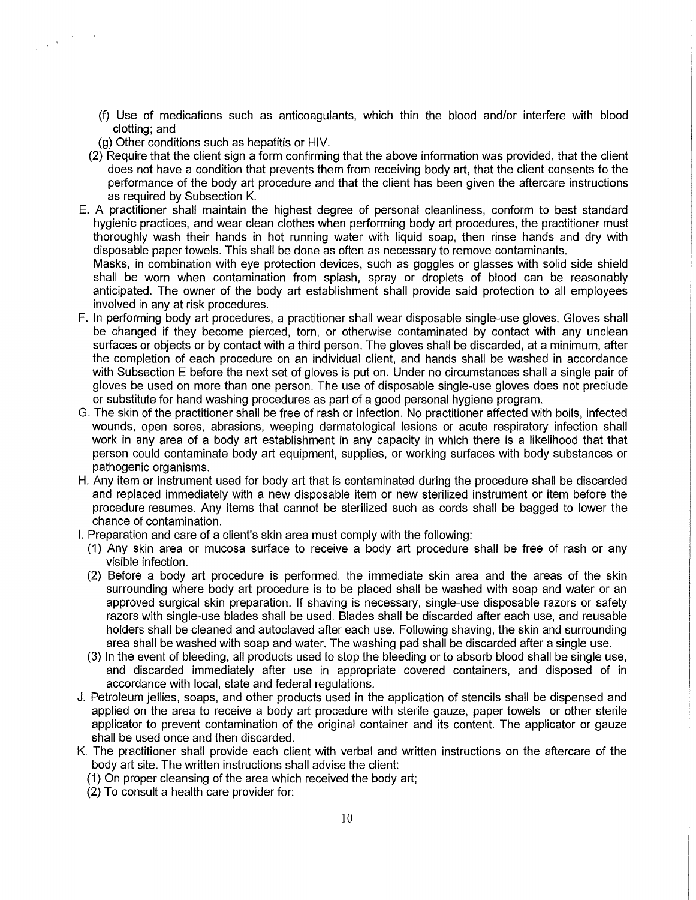- (f) Use of medications such as anticoagulants, which thin the blood and/or interfere with blood clotting; and
- (g) Other conditions such as hepatitis or HIV.

 $\tau_{\rm{esc}}$  ,  $\lambda_{\rm{max}}$ 

 $\frac{1}{2}$  ,  $\frac{1}{2}$ 

- (2) Require that the client sign a form confirming that the above information was provided, that the client does not have a condition that prevents them from receiving body art, that the client consents to the performance of the body art procedure and that the client has been given the aftercare instructions as required by Subsection K.
- E. A practitioner shall maintain the highest degree of personal cleanliness, conform to best standard hygienic practices, and wear clean clothes when performing body art procedures, the practitioner must thoroughly wash their hands in hot running water with liquid soap, then rinse hands and dry with disposable paper towels. This shall be done as often as necessary to remove contaminants.

Masks, in combination with eye protection devices, such as goggles or glasses with solid side shield shall be worn when contamination from splash, spray or droplets of blood can be reasonably anticipated. The owner of the body art establishment shall provide said protection to all employees involved in any at risk procedures.

- F. In performing body art procedures, a practitioner shall wear disposable single-use gloves. Gloves shall be changed if they become pierced, torn, or otherwise contaminated by contact with any unclean surfaces or objects or by contact with a third person. The gloves shall be discarded, at a minimum, after the completion of each procedure on an individual client, and hands shall be washed in accordance with Subsection E before the next set of gloves is put on. Under no circumstances shall a single pair of gloves be used on more than one person. The use of disposable single-use gloves does not preclude or substitute for hand washing procedures as part of a good personal hygiene program.
- G. The skin of the practitioner shall be free of rash or infection. No practitioner affected with boils, infected wounds, open sores, abrasions, weeping dermatological lesions or acute respiratory infection shall work in any area of a body art establishment in any capacity in which there is a likelihood that that person could contaminate body art equipment, supplies, or working surfaces with body substances or pathogenic organisms.
- H. Any item or instrument used for body art that is contaminated during the procedure shall be discarded and replaced immediately with a new disposable item or new sterilized instrument or item before the procedure resumes. Any items that cannot be sterilized such as cords shall be bagged to lower the chance of contamination.
- I. Preparation and care of a client's skin area must comply with the following:
	- (1) Any skin area or mucosa surface to receive a body art procedure shall be free of rash or any visible infection.
	- (2) Before a body art procedure is performed, the immediate skin area and the areas of the skin surrounding where body art procedure is to be placed shall be washed with soap and water or an approved surgical skin preparation. If shaving is necessary, single-use disposable razors or safety razors with single-use blades shall be used. Blades shall be discarded after each use, and reusable holders shall be cleaned and autoclaved after each use. Following shaving, the skin and surrounding area shall be washed with soap and water. The washing pad shall be discarded after a single use.
	- (3) In the event of bleeding, all products used to stop the bleeding or to absorb blood shall be single use, and discarded immediately after use in appropriate covered containers, and disposed of in accordance with local, state and federal regulations.
- J. Petroleum jellies, soaps, and other products used in the application of stencils shall be dispensed and applied on the area to receive a body art procedure with sterile gauze, paper towels or other sterile applicator to prevent contamination of the original container and its content. The applicator or gauze shall be used once and then discarded.
- K. The practitioner shall provide each client with verbal and written instructions on the aftercare of the body art site. The written instructions shall advise the client:
	- (1) On proper cleansing of the area which received the body art;
	- (2) To consult a health care provider for: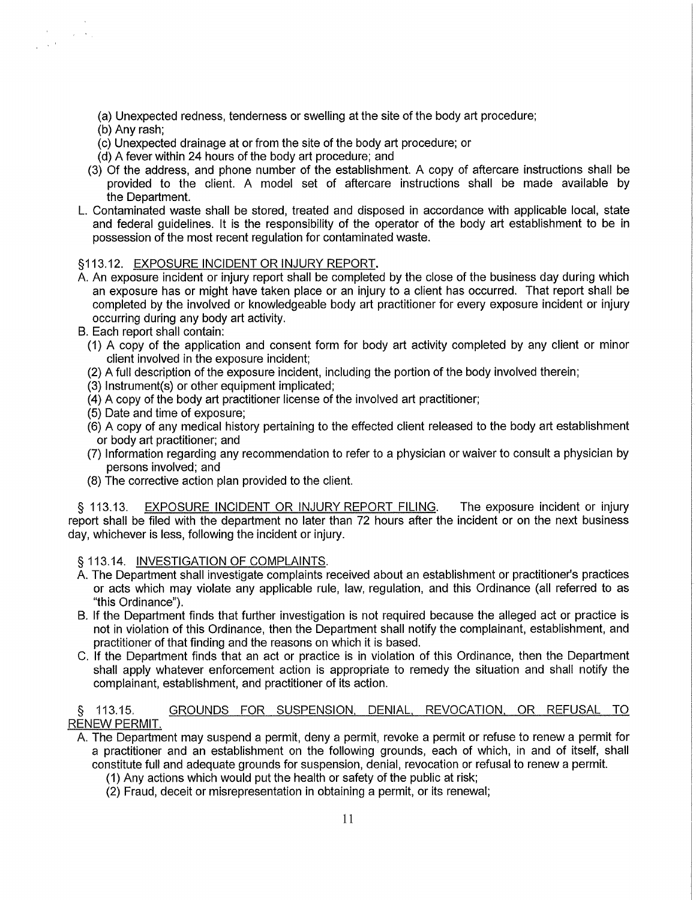(a) Unexpected redness, tenderness or swelling at the site of the body art procedure;

(b) Any rash;

 $\mathcal{L}_{\mathcal{A}}$  ,  $\mathcal{A}_{\mathcal{A}}$ 

 $\sqrt{1+\epsilon^2}$ 

- (c) Unexpected drainage at or from the site of the body art procedure; or
- (d) A fever within 24 hours of the body art procedure; and
- (3) Of the address, and phone number of the establishment. A copy of aftercare instructions shall be provided to the client. A model set of aftercare instructions shall be made available by the Department.
- L. Contaminated waste shall be stored, treated and disposed in accordance with applicable local, state and federal guidelines. It is the responsibility of the operator of the body art establishment to be in possession of the most recent regulation for contaminated waste.

## §113.12. EXPOSURE INCIDENT OR INJURY REPORT.

- A. An exposure incident or injury report shall be completed by the close of the business day during which an exposure has or might have taken place or an injury to a client has occurred. That report shall be completed by the involved or knowledgeable body art practitioner for every exposure incident or injury occurring during any body art activity.
- B. Each report shall contain:
	- (1) A copy of the application and consent form for body art activity completed by any client or minor client involved in the exposure incident;
	- (2) A full description of the exposure incident, including the portion of the body involved therein;
	- (3) lnstrument(s) or other equipment implicated;
	- (4) A copy of the body art practitioner license of the involved art practitioner;
	- (5) Date and time of exposure;
	- (6) A copy of any medical history pertaining to the effected client released to the body art establishment or body art practitioner; and
	- (7) Information regarding any recommendation to refer to a physician or waiver to consult a physician by persons involved; and
	- (8) The corrective action plan provided to the client.

§ 113.13. EXPOSURE INCIDENT OR INJURY REPORT FILING. The exposure incident or injury report shall be filed with the department no later than 72 hours after the incident or on the next business day, whichever is less, following the incident or injury.

§ 113.14. INVESTIGATION OF COMPLAINTS.

- A. The Department shall investigate complaints received about an establishment or practitioner's practices or acts which may violate any applicable rule, law, regulation, and this Ordinance (all referred to as "this Ordinance").
- B. If the Department finds that further investigation is not required because the alleged act or practice is not in violation of this Ordinance, then the Department shall notify the complainant, establishment, and practitioner of that finding and the reasons on which it is based.
- C. If the Department finds that an act or practice is in violation of this Ordinance, then the Department shall apply whatever enforcement action is appropriate to remedy the situation and shall notify the complainant, establishment, and practitioner of its action.

## § 113.15. GROUNDS FOR SUSPENSION, DENIAL. REVOCATION, OR REFUSAL TO RENEW PERMIT.

- A. The Department may suspend a permit, deny a permit, revoke a permit or refuse to renew a permit for a practitioner and an establishment on the following grounds, each of which, in and of itself, shall constitute full and adequate grounds for suspension, denial, revocation or refusal to renew a permit.
	- ( 1) Any actions which would put the health or safety of the public at risk;
	- (2) Fraud, deceit or misrepresentation in obtaining a permit, or its renewal;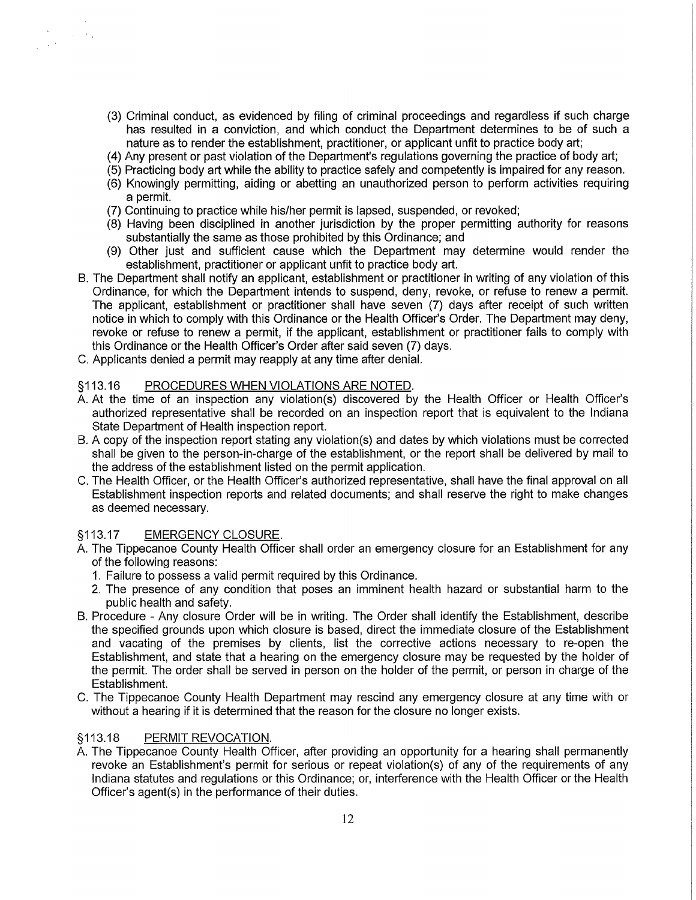- (3) Criminal conduct, as evidenced by filing of criminal proceedings and regardless if such charge has resulted in a conviction, and which conduct the Department determines to be of such a nature as to render the establishment, practitioner, or applicant unfit to practice body art;
- (4) Any present or past violation of the Department's regulations governing the practice of body art;
- (5) Practicing body art while the ability to practice safely and competently is impaired for any reason.
- (6) Knowingly permitting, aiding or abetting an unauthorized person to perform activities requiring a permit.
- (7) Continuing to practice while his/her permit is lapsed, suspended, or revoked;
- (8) Having been disciplined in another jurisdiction by the proper permitting authority for reasons substantially the same as those prohibited by this Ordinance; and
- (9) Other just and sufficient cause which the Department may determine would render the establishment, practitioner or applicant unfit to practice body art.
- B. The Department shall notify an applicant, establishment or practitioner in writing of any violation of this Ordinance, for which the Department intends to suspend, deny, revoke, or refuse to renew a permit. The applicant, establishment or practitioner shall have seven (7) days after receipt of such written notice in which to comply with this Ordinance or the Health Officer's Order. The Department may deny, revoke or refuse to renew a permit, if the applicant, establishment or practitioner fails to comply with this Ordinance or the Health Officer's Order after said seven (7) days.
- C. Applicants denied a permit may reapply at any time after denial.

#### §113.16 PROCEDURES WHEN VIOLATIONS ARE NOTED.

- A. At the time of an inspection any violation(s) discovered by the Health Officer or Health Officer's authorized representative shall be recorded on an inspection report that is equivalent to the Indiana State Department of Health inspection report.
- B. A copy of the inspection report stating any violation(s) and dates by which violations must be corrected shall be given to the person-in-charge of the establishment, or the report shall be delivered by mail to the address of the establishment listed on the permit application.
- C. The Health Officer, or the Health Officer's authorized representative, shall have the final approval on all Establishment inspection reports and related documents; and shall reserve the right to make changes as deemed necessary.

#### §113.17 EMERGENCY CLOSURE.

 $\sim 10^{-11}$  k  $_{\rm A}$ 

 $\frac{1}{2} \left( \frac{1}{2} \sqrt{2} \right)$ 

- A. The Tippecanoe County Health Officer shall order an emergency closure for an Establishment for any of the following reasons:
	- 1. Failure to possess a valid permit required by this Ordinance.
	- 2. The presence of any condition that poses an imminent health hazard or substantial harm to the public health and safety.
- B. Procedure Any closure Order will be in writing. The Order shall identify the Establishment, describe the specified grounds upon which closure is based, direct the immediate closure of the Establishment and vacating of the premises by clients, list the corrective actions necessary to re-open the Establishment, and state that a hearing on the emergency closure may be requested by the holder of the permit. The order shall be served in person on the holder of the permit, or person in charge of the Establishment.
- C. The Tippecanoe County Health Department may rescind any emergency closure at any time with or without a hearing if it is determined that the reason for the closure no longer exists.

## §113.18 PERMIT REVOCATION.

A. The Tippecanoe County Health Officer, after providing an opportunity for a hearing shall permanently revoke an Establishment's permit for serious or repeat violation(s) of any of the requirements of any Indiana statutes and regulations or this Ordinance; or, interference with the Health Officer or the Health Officer's agent(s) in the performance of their duties.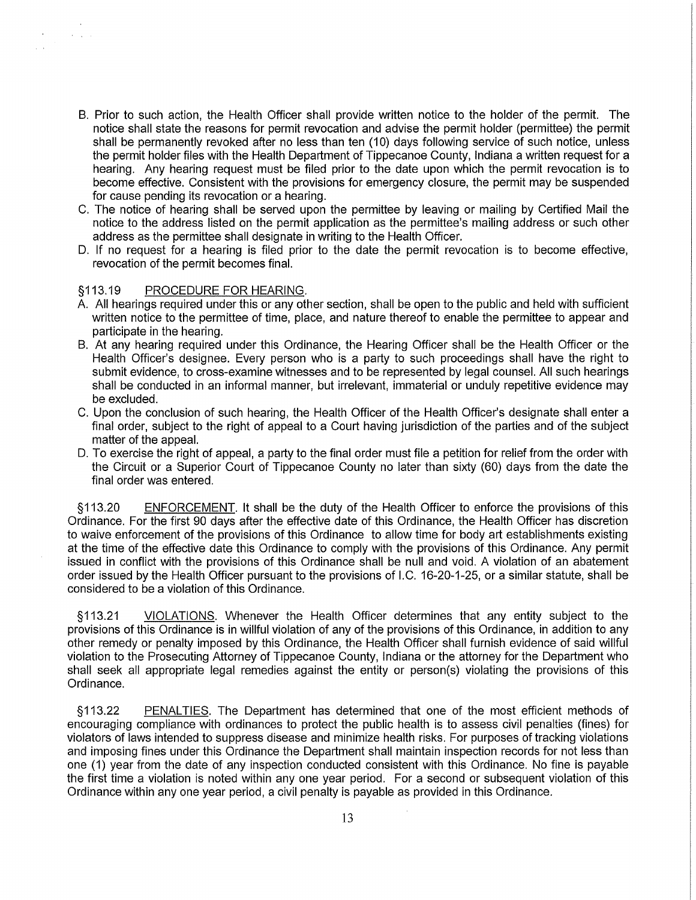- B. Prior to such action, the Health Officer shall provide written notice to the holder of the permit. The notice shall state the reasons for permit revocation and advise the permit holder (permittee) the permit shall be permanently revoked after no less than ten (10) days following service of such notice, unless the permit holder files with the Health Department of Tippecanoe County, Indiana a written request for a hearing. Any hearing request must be filed prior to the date upon which the permit revocation is to become effective. Consistent with the provisions for emergency closure, the permit may be suspended for cause pending its revocation or a hearing.
- C. The notice of hearing shall be served upon the permittee by leaving or mailing by Certified Mail the notice to the address listed on the permit application as the permittee's mailing address or such other address as the permittee shall designate in writing to the Health Officer.
- D. If no request for a hearing is filed prior to the date the permit revocation is to become effective, revocation of the permit becomes final.

#### §113.19 PROCEDURE FOR HEARING.

**Contractor** 

- A. All hearings required under this or any other section, shall be open to the public and held with sufficient written notice to the permittee of time, place, and nature thereof to enable the permittee to appear and participate in the hearing.
- B. At any hearing required under this Ordinance, the Hearing Officer shall be the Health Officer or the Health Officer's designee. Every person who is a party to such proceedings shall have the right to submit evidence, to cross-examine witnesses and to be represented by legal counsel. All such hearings shall be conducted in an informal manner, but irrelevant, immaterial or unduly repetitive evidence may be excluded.
- C. Upon the conclusion of such hearing, the Health Officer of the Health Officer's designate shall enter a final order, subject to the right of appeal to a Court having jurisdiction of the parties and of the subject matter of the appeal.
- D. To exercise the right of appeal, a party to the final order must file a petition for relief from the order with the Circuit or a Superior Court of Tippecanoe County no later than sixty (60) days from the date the final order was entered.

§113.20 ENFORCEMENT. It shall be the duty of the Health Officer to enforce the provisions of this Ordinance. For the first 90 days after the effective date of this Ordinance, the Health Officer has discretion to waive enforcement of the provisions of this Ordinance to allow time for body art establishments existing at the time of the effective date this Ordinance to comply with the provisions of this Ordinance. Any permit issued in conflict with the provisions of this Ordinance shall be null and void. A violation of an abatement order issued by the Health Officer pursuant to the provisions of l.C. 16-20-1-25, or a similar statute, shall be considered to be a violation of this Ordinance.

§113.21 VIOLATIONS. Whenever the Health Officer determines that any entity subject to the provisions of this Ordinance is in willful violation of any of the provisions of this Ordinance, in addition to any other remedy or penalty imposed by this Ordinance, the Health Officer shall furnish evidence of said willful violation to the Prosecuting Attorney of Tippecanoe County, Indiana or the attorney for the Department who shall seek all appropriate legal remedies against the entity or person(s) violating the provisions of this Ordinance.

§113.22 PENALTIES. The Department has determined that one of the most efficient methods of encouraging compliance with ordinances to protect the public health is to assess civil penalties (fines) for violators of laws intended to suppress disease and minimize health risks. For purposes of tracking violations and imposing fines under this Ordinance the Department shall maintain inspection records for not less than one (1) year from the date of any inspection conducted consistent with this Ordinance. No fine is payable the first time a violation is noted within any one year period. For a second or subsequent violation of this Ordinance within any one year period, a civil penalty is payable as provided in this Ordinance.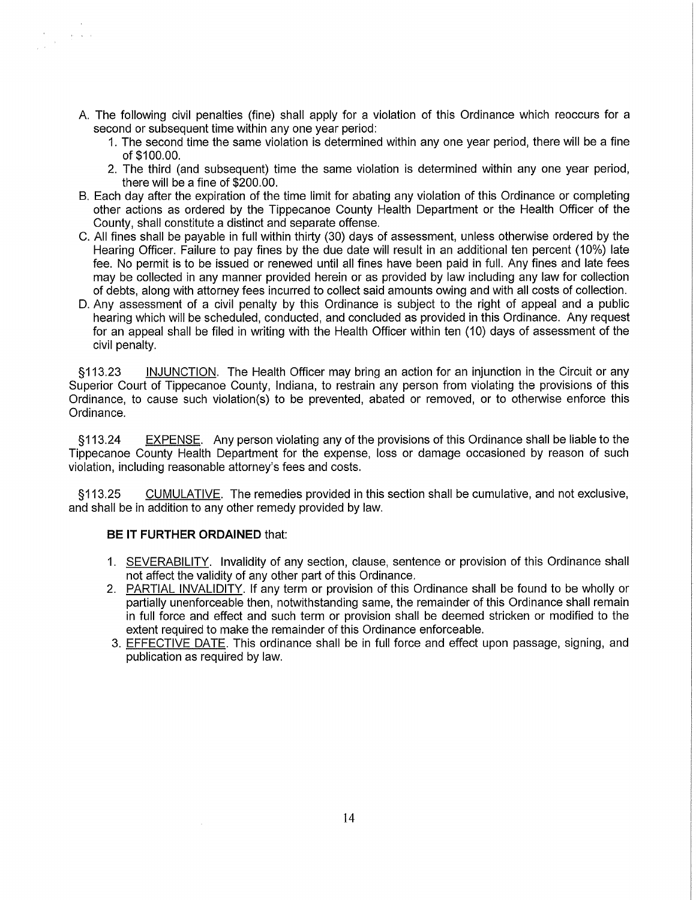- A. The following civil penalties (fine) shall apply for a violation of this Ordinance which reoccurs for a second or subsequent time within any one year period:
	- 1. The second time the same violation is determined within any one year period, there will be a fine of \$100.00.
	- 2. The third (and subsequent) time the same violation is determined within any one year period, there will be a fine of \$200.00.
- B. Each day after the expiration of the time limit for abating any violation of this Ordinance or completing other actions as ordered by the Tippecanoe County Health Department or the Health Officer of the County, shall constitute a distinct and separate offense.
- C. All fines shall be payable in full within thirty (30) days of assessment, unless otherwise ordered by the Hearing Officer. Failure to pay fines by the due date will result in an additional ten percent (10%) late fee. No permit is to be issued or renewed until all fines have been paid in full. Any fines and late fees may be collected in any manner provided herein or as provided by law including any law for collection of debts, along with attorney fees incurred to collect said amounts owing and with all costs of collection.
- D. Any assessment of a civil penalty by this Ordinance is subject to the right of appeal and a public hearing which will be scheduled, conducted, and concluded as provided in this Ordinance. Any request for an appeal shall be filed in writing with the Health Officer within ten (10) days of assessment of the civil penalty.

§113.23 INJUNCTION. The Health Officer may bring an action for an injunction in the Circuit or any Superior Court of Tippecanoe County, Indiana, to restrain any person from violating the provisions of this Ordinance, to cause such violation(s) to be prevented, abated or removed, or to otherwise enforce this Ordinance.

§ 113.24 EXPENSE. Any person violating any of the provisions of this Ordinance shall be liable to the Tippecanoe County Health Department for the expense, loss or damage occasioned by reason of such violation, including reasonable attorney's fees and costs.

§113.25 CUMULATIVE. The remedies provided in this section shall be cumulative, and not exclusive, and shall be in addition to any other remedy provided by law.

## **BE IT FURTHER ORDAINED** that:

 $\label{eq:2.1} \begin{array}{c} \mathcal{A} \\ \mathcal{A} \\ \mathcal{A} \end{array} \xrightarrow{\mathcal{A}} \begin{array}{c} \mathcal{A} \\ \mathcal{B} \\ \mathcal{A} \end{array}$ 

- 1. SEVERABILITY. Invalidity of any section, clause, sentence or provision of this Ordinance shall not affect the validity of any other part of this Ordinance.
- 2. PARTIAL INVALIDITY. If any term or provision of this Ordinance shall be found to be wholly or partially unenforceable then, notwithstanding same, the remainder of this Ordinance shall remain in full force and effect and such term or provision shall be deemed stricken or modified to the extent required to make the remainder of this Ordinance enforceable.
- 3. EFFECTIVE DATE. This ordinance shall be in full force and effect upon passage, signing, and publication as required by law.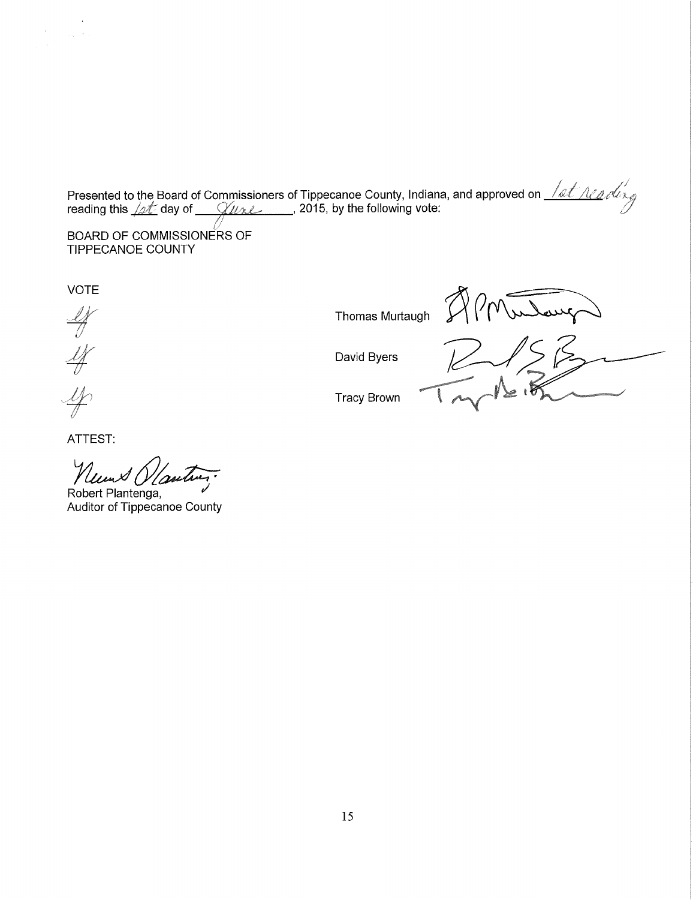Presented to the Board of Commissioners of Tippecanoe County, Indiana, and approved on $\frac{-\ell\mathscr{A}\ell-\ell'\ell'\ell'}{\ell\mathscr{A}}$ reading this *./at*\_day of \_\_\_*\_(/uʌ.*/\_\_\_\_\_\_, 2015, by the following vote:

BOARD OF COMMISSIONERS OF TIPPECANOE COUNTY

VOTE

 $\label{eq:2.1} \frac{d^2\phi}{d\phi^2} = \frac{1}{2\pi}\frac{d\phi}{d\phi} = \frac{d\phi}{d\phi} \frac{d\phi}{d\phi}$ 

 $\frac{1}{\sqrt{2}}$ 

ATTEST:

Neums Olanting.

Robert Plantenga, Auditor of Tippecanoe County

APMulang Thomas Murtaugh  $7170$  Julavez

David Byers

Tracy Brown